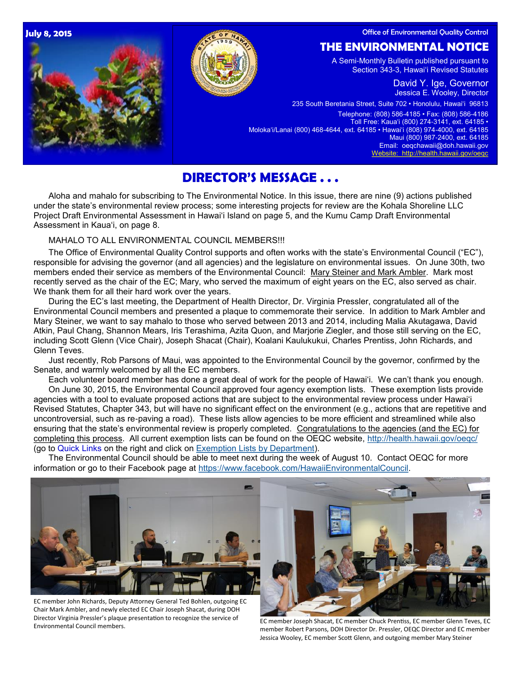Office of Environmental Quality Control

### **July 8, 2015**





## **THE ENVIRONMENTAL NOTICE**

A Semi-Monthly Bulletin published pursuant to Section 343-3, Hawaiʻi Revised Statutes

> David Y. Ige, Governor Jessica E. Wooley, Director

235 South Beretania Street, Suite 702 • Honolulu, Hawaiʻi 96813

Telephone: (808) 586-4185 • Fax: (808) 586-4186 Toll Free: Kauaʻi (800) 274-3141, ext. 64185 • Molokaʻi/Lanai (800) 468-4644, ext. 64185 • Hawaiʻi (808) 974-4000, ext. 64185 Maui (800) 987-2400, ext. 64185 Email: oeqchawaii@doh.hawaii.gov [Website: http://health.hawaii.gov/oeqc](http://health.hawaii.gov/oeqc/)

# **DIRECTOR'S MESSAGE . . .**

Aloha and mahalo for subscribing to The Environmental Notice. In this issue, there are nine (9) actions published under the state's environmental review process; some interesting projects for review are the Kohala Shoreline LLC Project Draft Environmental Assessment in Hawai'i Island on page 5, and the Kumu Camp Draft Environmental Assessment in Kaua'i, on page 8.

MAHALO TO ALL ENVIRONMENTAL COUNCIL MEMBERS!!!

The Office of Environmental Quality Control supports and often works with the state's Environmental Council ("EC"), responsible for advising the governor (and all agencies) and the legislature on environmental issues. On June 30th, two members ended their service as members of the Environmental Council: Mary Steiner and Mark Ambler. Mark most recently served as the chair of the EC; Mary, who served the maximum of eight years on the EC, also served as chair. We thank them for all their hard work over the years.

During the EC's last meeting, the Department of Health Director, Dr. Virginia Pressler, congratulated all of the Environmental Council members and presented a plaque to commemorate their service. In addition to Mark Ambler and Mary Steiner, we want to say mahalo to those who served between 2013 and 2014, including Malia Akutagawa, David Atkin, Paul Chang, Shannon Mears, Iris Terashima, Azita Quon, and Marjorie Ziegler, and those still serving on the EC, including Scott Glenn (Vice Chair), Joseph Shacat (Chair), Koalani Kaulukukui, Charles Prentiss, John Richards, and Glenn Teves.

Just recently, Rob Parsons of Maui, was appointed to the Environmental Council by the governor, confirmed by the Senate, and warmly welcomed by all the EC members.

Each volunteer board member has done a great deal of work for the people of Hawai'i. We can't thank you enough. On June 30, 2015, the Environmental Council approved four agency exemption lists. These exemption lists provide agencies with a tool to evaluate proposed actions that are subject to the environmental review process under Hawai'i Revised Statutes, Chapter 343, but will have no significant effect on the environment (e.g., actions that are repetitive and uncontroversial, such as re-paving a road). These lists allow agencies to be more efficient and streamlined while also ensuring that the state's environmental review is properly completed. Congratulations to the agencies (and the EC) for completing this process. All current exemption lists can be found on the OEQC website, <http://health.hawaii.gov/oeqc/> (go to Quick Links on the right and click on [Exemption Lists by Department\)](http://oeqc.doh.hawaii.gov/default.aspx?RootFolder=%2fShared%20Documents%2fEnvironmental%5fCouncil%2fExemption%5fLists%5fBy%5fDepartment&View=%7bF4E3E6A9%2d2607%2d49FC%2dB7A5%2d2928B79F10B4%7d).

The Environmental Council should be able to meet next during the week of August 10. Contact OEQC for more information or go to their Facebook page at<https://www.facebook.com/HawaiiEnvironmentalCouncil>.



EC member John Richards, Deputy Attorney General Ted Bohlen, outgoing EC Chair Mark Ambler, and newly elected EC Chair Joseph Shacat, during DOH Director Virginia Pressler's plaque presentation to recognize the service of Environmental Council members.



EC member Joseph Shacat, EC member Chuck Prentiss, EC member Glenn Teves, EC member Robert Parsons, DOH Director Dr. Pressler, OEQC Director and EC member Jessica Wooley, EC member Scott Glenn, and outgoing member Mary Steiner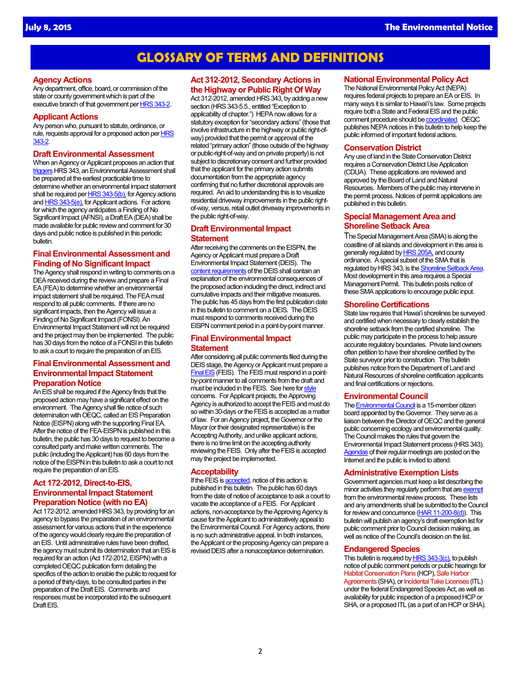## **GLOSSARY OF TERMS AND DEFINITIONS**

#### **Agency Actions**

Any department, office, board, or commission of the state or county government which is part of the executive branch of that government per [HRS 343-2.](http://www.capitol.hawaii.gov/hrscurrent/Vol06_Ch0321-0344/HRS0343/HRS_0343-0002.htm)

#### **Applicant Actions**

Any person who, pursuant to statute, ordinance, or rule, requests approval for a proposed action per **HRS** [343-2.](http://www.capitol.hawaii.gov/hrscurrent/Vol06_Ch0321-0344/HRS0343/HRS_0343-0002.htm)

#### **Draft Environmental Assessment**

When an Agency or Applicant proposes an action that [triggers](http://www.capitol.hawaii.gov/hrscurrent/Vol06_Ch0321-0344/HRS0343/HRS_0343-0005.htm) HRS 343, an Environmental Assessment shall be prepared at the earliest practicable time to determine whether an environmental impact statement shall be required per [HRS 343-5\(b\),](http://www.capitol.hawaii.gov/hrscurrent/Vol06_Ch0321-0344/HRS0343/HRS_0343-0005.htm) for Agency actions and [HRS 343-5\(e\),](http://www.capitol.hawaii.gov/hrscurrent/Vol06_Ch0321-0344/HRS0343/HRS_0343-0005.htm) for Applicant actions. For actions for which the agency anticipates a Finding of No Significant Impact (AFNSI), a Draft EA (DEA) shall be made available for public review and comment for 30 days and public notice is published in this periodic bulletin.

### **Final Environmental Assessment and Finding of No Significant Impact**

The Agency shall respond in writing to comments on a DEA received during the review and prepare a Final EA (FEA) to determine whether an environmental impact statement shall be required. The FEA must respond to all public comments. If there are no significant impacts, then the Agency will issue a Finding of No Significant Impact (FONSI). An Environmental Impact Statement will not be required and the project may then be implemented. The public has 30 days from the notice of a FONSI in this bulletin to ask a court to require the preparation of an EIS.

### **Final Environmental Assessment and Environmental Impact Statement Preparation Notice**

An EIS shall be required if the Agency finds that the proposed action may have a significant effect on the environment. The Agency shall file notice of such determination with OEQC, called an EIS Preparation Notice (EISPN) along with the supporting Final EA. After the notice of the FEA-EISPN is published in this bulletin, the public has 30 days to request to become a consulted party and make written comments. The public (including the Applicant) has 60 days from the notice of the EISPN in this bulletin to ask a court to not require the preparation of an EIS.

### **Act 172-2012, Direct-to-EIS, Environmental Impact Statement Preparation Notice (with no EA)**

Act 172-2012, amended HRS 343, by providing for an agency to bypass the preparation of an environmental assessment for various actions that in the experience of the agency would clearly require the preparation of an EIS. Until administrative rules have been drafted, the agency must submit its determination that an EIS is required for an action (Act 172-2012, EISPN) with a completed OEQC publication form detailing the specifics of the action to enable the public to request for a period of thirty-days, to be consulted parties in the preparation of the Draft EIS. Comments and responses must be incorporated into the subsequent Draft EIS.

#### **Act 312-2012, Secondary Actions in the Highway or Public Right Of Way**

Act 312-2012, amended HRS 343, by adding a new section (HRS 343-5.5., entitled "Exception to applicability of chapter.") HEPA now allows for a statutory exception for "secondary actions" (those that involve infrastructure in the highway or public right-ofway) provided that the permit or approval of the related "primary action" (those outside of the highway or public-right-of-way and on private property) is not subject to discretionary consent and further provided that the applicant for the primary action submits documentation from the appropriate agency confirming that no further discretional approvals are required. An aid to understanding this is to visualize residential driveway improvements in the public rightof-way, versus, retail outlet driveway improvements in the public right-of-way.

#### **Draft Environmental Impact Statement**

After receiving the comments on the EISPN, the Agency or Applicant must prepare a Draft Environmental Impact Statement (DEIS). The [content requirements](http://gen.doh.hawaii.gov/sites/har/AdmRules1/11-200.htm#sec_17) of the DEIS shall contain an explanation of the environmental consequences of the proposed action including the direct, indirect and cumulative impacts and their mitigative measures. The public has 45 days from the first publication date in this bulletin to comment on a DEIS. The DEIS must respond to comments received during the EISPN comment period in a point-by-point manner.

#### **Final Environmental Impact Statement**

After considering all public comments filed during the DEIS stage, the Agency or Applicant must prepare a Final EIS (FEIS). The FEIS must respond in a pointby-point manner to all comments from the draft and must be included in the FEIS. See here for [style](http://gen.doh.hawaii.gov/sites/har/AdmRules1/11-200.htm#sec_19) concerns. For Applicant projects, the Approving Agency is authorized to accept the FEIS and must do so within 30-days or the FEIS is accepted as a matter of law. For an Agency project, the Governor or the Mayor (or their designated representative) is the Accepting Authority, and unlike applicant actions, there is no time limit on the accepting authority reviewing the FEIS. Only after the FEIS is accepted may the project be implemented.

#### **Acceptability**

If the FEIS is **accepted**, notice of this action is published in this bulletin. The public has 60 days from the date of notice of acceptance to ask a court to vacate the acceptance of a FEIS. For Applicant actions, non-acceptance by the Approving Agency is cause for the Applicant to administratively appeal to the Environmental Council. For Agency actions, there is no such administrative appeal. In both instances, the Applicant or the proposing Agency can prepare a revised DEIS after a nonacceptance determination.

#### **National Environmental Policy Act**

The National Environmental Policy Act (NEPA) requires federal projects to prepare an EA or EIS. In many ways it is similar to Hawaiʻi's law. Some projects require both a State and Federal EIS and the public comment procedure should be [coordinated.](http://gen.doh.hawaii.gov/sites/har/AdmRules1/11-200.htm#sub_9) OEQC publishes NEPA notices in this bulletin to help keep the public informed of important federal actions.

#### **Conservation District**

Any use of land in the State Conservation District requires a Conservation District Use Application (CDUA). These applications are reviewed and approved by the Board of Land and Natural Resources. Members of the public may intervene in the permit process. Notices of permit applications are published in this bulletin.

#### **Special Management Area and Shoreline Setback Area**

The Special Management Area (SMA) is along the coastline of all islands and development in this area is generally regulated by **HRS 205A**, and county ordinance. A special subset of the SMA that is regulated by HRS 343, is the [Shoreline Setback Area.](http://www.capitol.hawaii.gov/hrscurrent/Vol04_Ch0201-0257/HRS0205A/HRS_0205A-0041.htm) Most development in this area requires a Special Management Permit. This bulletin posts notice of these SMA applications to encourage public input.

#### **Shoreline Certifications**

State law requires that Hawaiʻi shorelines be surveyed and certified when necessary to clearly establish the shoreline setback from the certified shoreline. The public may participate in the process to help assure accurate regulatory boundaries. Private land owners often petition to have their shoreline certified by the State surveyor prior to construction. This bulletin publishes notice from the Department of Land and Natural Resources of shoreline certification applicants and final certifications or rejections.

#### **Environmental Council**

The **Environmental Council** is a 15-member citizen board appointed by the Governor. They serve as a liaison between the Director of OEQC and the general public concerning ecology and environmental quality. The Council makes the rules that govern the Environmental Impact Statement process (HRS 343). [Agendas](http://calendar.ehawaii.gov/calendar/html/event) of their regular meetings are posted on the Internet and the public is invited to attend.

#### **Administrative Exemption Lists**

Government agencies must keep a list describing the minor activities they regularly perform that are [exempt](http://gen.doh.hawaii.gov/sites/har/AdmRules1/11-200.htm#sec_8) from the environmental review process. These lists and any amendments shall be submitted to the Council for review and concurrence [\(HAR 11-200-8\(d\)\)](http://gen.doh.hawaii.gov/sites/har/AdmRules1/11-200.htm#sec_8). This bulletin will publish an agency's draft exemption list for public comment prior to Council decision making, as well as notice of the Council's decision on the list.

#### **Endangered Species**

This bulletin is required by **HRS 343-3(c)**, to publish notice of public comment periods or public hearings for Habitat Conservation Plans (HCP), Safe Harbor Agreements (SHA), or Incidental Take Licenses (ITL) under the federal Endangered Species Act, as well as availability for public inspection of a proposed HCP or SHA, or a proposed ITL (as a part of an HCP or SHA).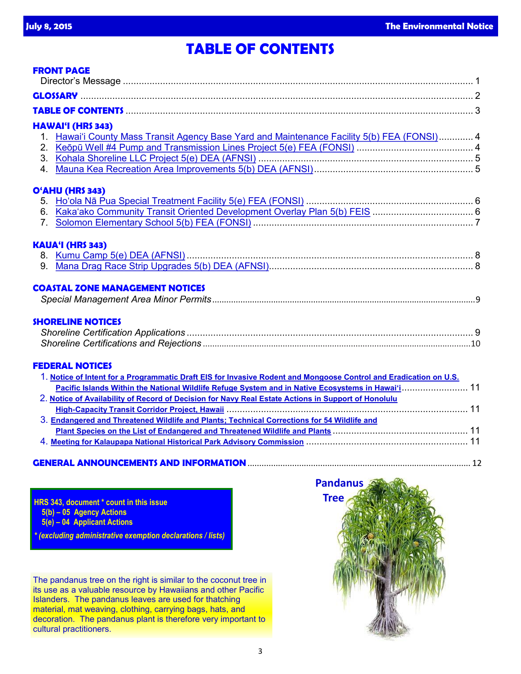# **TABLE OF CONTENTS**

|                | <b>FRONT PAGE</b>                                                                                                 |  |
|----------------|-------------------------------------------------------------------------------------------------------------------|--|
|                |                                                                                                                   |  |
|                |                                                                                                                   |  |
|                |                                                                                                                   |  |
|                | HAWAI'I (HRS 343)                                                                                                 |  |
|                | 1. Hawai'i County Mass Transit Agency Base Yard and Maintenance Facility 5(b) FEA (FONSI) 4                       |  |
|                |                                                                                                                   |  |
|                |                                                                                                                   |  |
|                |                                                                                                                   |  |
|                | O'AHU (HRS 343)                                                                                                   |  |
|                |                                                                                                                   |  |
|                | 6. Kaka'ako Community Transit Oriented Development Overlay Plan 5(b) FEIS  6                                      |  |
| 7 <sub>1</sub> |                                                                                                                   |  |
|                | <b>KAUA'I (HRS 343)</b>                                                                                           |  |
|                |                                                                                                                   |  |
|                |                                                                                                                   |  |
|                | <b>COASTAL ZONE MANAGEMENT NOTICES</b>                                                                            |  |
|                |                                                                                                                   |  |
|                | <b>SHORELINE NOTICES</b>                                                                                          |  |
|                |                                                                                                                   |  |
|                |                                                                                                                   |  |
|                |                                                                                                                   |  |
|                | <b>FEDERAL NOTICES</b>                                                                                            |  |
|                | 1. Notice of Intent for a Programmatic Draft EIS for Invasive Rodent and Mongoose Control and Eradication on U.S. |  |
|                | Pacific Islands Within the National Wildlife Refuge System and in Native Ecosystems in Hawai'i 11                 |  |
|                | 2. Notice of Availability of Record of Decision for Navy Real Estate Actions in Support of Honolulu               |  |
|                |                                                                                                                   |  |
|                | 3. Endangered and Threatened Wildlife and Plants; Technical Corrections for 54 Wildlife and                       |  |
|                |                                                                                                                   |  |
|                |                                                                                                                   |  |
|                |                                                                                                                   |  |

## **GENERAL ANNOUNCEMENTS AND INFORMATION**............................................................................................... 12

**HRS 343, document \* count in this issue 5(b) – 05 Agency Actions 5(e) – 04 Applicant Actions**

*\* (excluding administrative exemption declarations / lists)*

The pandanus tree on the right is similar to the coconut tree in its use as a valuable resource by Hawaiians and other Pacific Islanders. The pandanus leaves are used for thatching material, mat weaving, clothing, carrying bags, hats, and decoration. The pandanus plant is therefore very important to cultural practitioners.

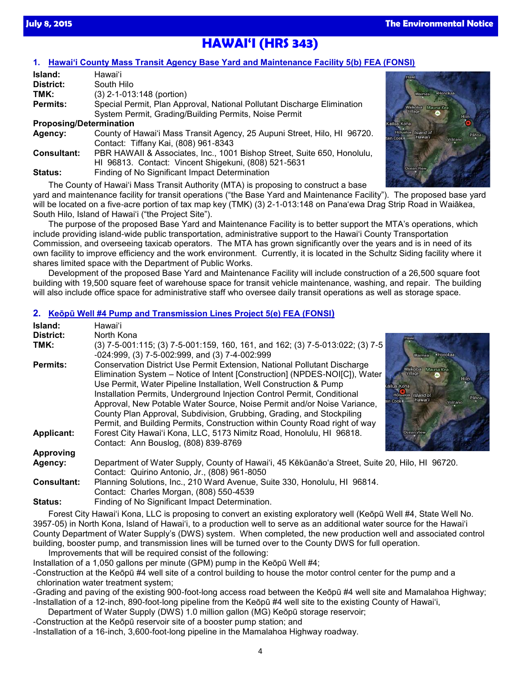# **HAWAI'I (HRS 343)**

## **1. [Hawai'i County Mass Transit Agency Base Yard and Maintenance Facility 5\(b\) FEA \(FONSI\)](http://oeqc.doh.hawaii.gov/Shared%20Documents/EA_and_EIS_Online_Library/Hawaii/2010s/2015-07-08-HA-5B-FEA-Hawaii-County-Mass-Transit-Agency-Base-Yard-and-Maintenance-Facility.pdf)**

| Island:                                                                                    | Hawaiʻi                                                                             |
|--------------------------------------------------------------------------------------------|-------------------------------------------------------------------------------------|
| District:                                                                                  | South Hilo                                                                          |
| TMK:                                                                                       | $(3)$ 2-1-013:148 (portion)                                                         |
| Special Permit, Plan Approval, National Pollutant Discharge Elimination<br><b>Permits:</b> |                                                                                     |
|                                                                                            | System Permit, Grading/Building Permits, Noise Permit                               |
| <b>Proposing/Determination</b>                                                             |                                                                                     |
| County of Hawai'i Mass Transit Agency, 25 Aupuni Street, Hilo, HI 96720.<br>Agency:        |                                                                                     |
|                                                                                            | Contact: Tiffany Kai, (808) 961-8343                                                |
| <b>Consultant:</b>                                                                         | PBR HAWAII & Associates, Inc., 1001 Bishop Street, Suite 650, Honolulu,             |
|                                                                                            | HI 96813. Contact: Vincent Shigekuni, (808) 521-5631                                |
| <b>Status:</b>                                                                             | Finding of No Significant Impact Determination                                      |
|                                                                                            | The County of Hougiii Mass Transit Authority (MTA) is proposing to construct a boss |

The County of Hawai'i Mass Transit Authority (MTA) is proposing to construct a base yard and maintenance facility for transit operations ("the Base Yard and Maintenance Facility"). The proposed base yard will be located on a five-acre portion of tax map key (TMK) (3) 2-1-013:148 on Pana'ewa Drag Strip Road in Waiākea, South Hilo, Island of Hawai'i ("the Project Site").

The purpose of the proposed Base Yard and Maintenance Facility is to better support the MTA's operations, which include providing island-wide public transportation, administrative support to the Hawai'i County Transportation Commission, and overseeing taxicab operators. The MTA has grown significantly over the years and is in need of its own facility to improve efficiency and the work environment. Currently, it is located in the Schultz Siding facility where it shares limited space with the Department of Public Works.

Development of the proposed Base Yard and Maintenance Facility will include construction of a 26,500 square foot building with 19,500 square feet of warehouse space for transit vehicle maintenance, washing, and repair. The building will also include office space for administrative staff who oversee daily transit operations as well as storage space.

## **2. [Keōpū Well #4 Pump and Transmission Lines Project 5\(e\) FEA \(FONSI](http://oeqc.doh.hawaii.gov/Shared%20Documents/EA_and_EIS_Online_Library/Hawaii/2010s/2015-07-08-HA-5E-FEA-Keopu-Well-Number-4-Pump-and-Transmission-Lines-Project.pdf))**

| Island:            | Hawaiʻi                                                                                                                                                                                                                        |
|--------------------|--------------------------------------------------------------------------------------------------------------------------------------------------------------------------------------------------------------------------------|
| District:<br>TMK:  | North Kona<br>Hawi<br>(3) 7-5-001:115; (3) 7-5-001:159, 160, 161, and 162; (3) 7-5-013:022; (3) 7-5                                                                                                                            |
|                    | -024:999, (3) 7-5-002:999, and (3) 7-4-002:999                                                                                                                                                                                 |
| Permits:           | <b>Conservation District Use Permit Extension, National Pollutant Discharge</b><br><b>Waikoloa</b><br>Mauna Kea                                                                                                                |
|                    | Elimination System – Notice of Intent [Construction] (NPDES-NOI[C]), Water                                                                                                                                                     |
|                    | Use Permit, Water Pipeline Installation, Well Construction & Pump<br>lailua-Kona                                                                                                                                               |
|                    | Installation Permits, Underground Injection Control Permit, Conditional<br>Island of<br>Holbaloa<br>Paho<br>Hawar <sup>®</sup>                                                                                                 |
|                    | Approval, New Potable Water Source, Noise Permit and/or Noise Variance,<br>Volcano                                                                                                                                             |
|                    | County Plan Approval, Subdivision, Grubbing, Grading, and Stockpiling                                                                                                                                                          |
|                    | Permit, and Building Permits, Construction within County Road right of way                                                                                                                                                     |
| <b>Applicant:</b>  | Forest City Hawai'i Kona, LLC, 5173 Nimitz Road, Honolulu, HI 96818.<br>Ocean View                                                                                                                                             |
|                    | Contact: Ann Bouslog, (808) 839-8769                                                                                                                                                                                           |
| <b>Approving</b>   |                                                                                                                                                                                                                                |
| Agency:            | Department of Water Supply, County of Hawai'i, 45 Kēkūanāo'a Street, Suite 20, Hilo, HI 96720.<br>Contact: Quirino Antonio, Jr., (808) 961-8050                                                                                |
| <b>Consultant:</b> | Planning Solutions, Inc., 210 Ward Avenue, Suite 330, Honolulu, HI 96814.                                                                                                                                                      |
|                    | Contact: Charles Morgan, (808) 550-4539                                                                                                                                                                                        |
|                    | Eta dia any fikialan'i Chambiana di Language (Chambia) ang ang mga kalayang mga kalayang mga kalayang mga kalayang mga kalayang mga kalayang mga kalayang mga kalayang mga kalayang mga kalayang mga kalayang mga kalayang mga |

**Status:** Finding of No Significant Impact Determination.

Forest City Hawai'i Kona, LLC is proposing to convert an existing exploratory well (Keōpū Well #4, State Well No. 3957-05) in North Kona, Island of Hawaiʻi, to a production well to serve as an additional water source for the Hawai'i County Department of Water Supply's (DWS) system. When completed, the new production well and associated control building, booster pump, and transmission lines will be turned over to the County DWS for full operation. Improvements that will be required consist of the following:

Installation of a 1,050 gallons per minute (GPM) pump in the Keōpū Well #4;

-Construction at the Keōpū #4 well site of a control building to house the motor control center for the pump and a chlorination water treatment system;

-Grading and paving of the existing 900-foot-long access road between the Keōpū #4 well site and Mamalahoa Highway; -Installation of a 12-inch, 890-foot-long pipeline from the Keōpū #4 well site to the existing County of Hawaiʻi,

Department of Water Supply (DWS) 1.0 million gallon (MG) Keōpū storage reservoir;

-Construction at the Keōpū reservoir site of a booster pump station; and

-Installation of a 16-inch, 3,600-foot-long pipeline in the Mamalahoa Highway roadway.



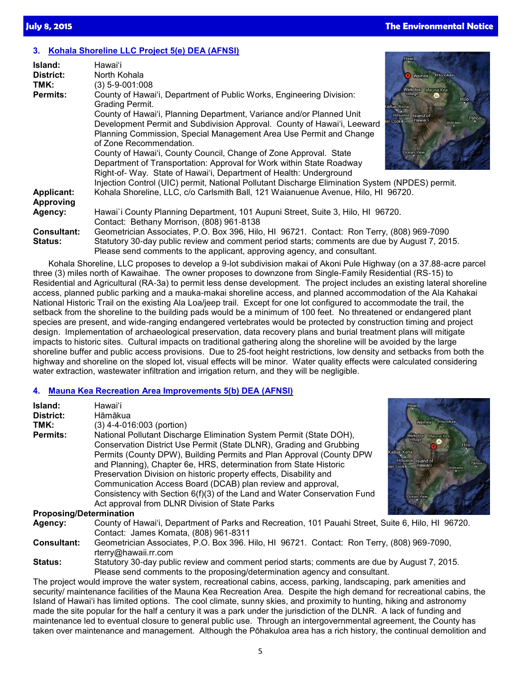## **3. [Kohala Shoreline LLC Project 5\(e\) DEA \(AFNSI\)](http://oeqc.doh.hawaii.gov/Shared%20Documents/EA_and_EIS_Online_Library/Hawaii/2010s/2015-07-08-HA-5E-DEA-Kohala-Shoreline-LLC-Project.pdf)**

| Island:                              | Hawaiʻi                                                                                                                                                                                                                                                                                                                                                                                                                                                                                                                                                                |                                                                                                |
|--------------------------------------|------------------------------------------------------------------------------------------------------------------------------------------------------------------------------------------------------------------------------------------------------------------------------------------------------------------------------------------------------------------------------------------------------------------------------------------------------------------------------------------------------------------------------------------------------------------------|------------------------------------------------------------------------------------------------|
| District:                            | North Kohala                                                                                                                                                                                                                                                                                                                                                                                                                                                                                                                                                           | ·Honokaa<br>Waimea                                                                             |
| TMK:                                 | $(3)$ 5-9-001:008                                                                                                                                                                                                                                                                                                                                                                                                                                                                                                                                                      |                                                                                                |
| <b>Permits:</b>                      | County of Hawai'i, Department of Public Works, Engineering Division:<br>Grading Permit.                                                                                                                                                                                                                                                                                                                                                                                                                                                                                | Mauna Kea<br>Hilo                                                                              |
|                                      | County of Hawai'i, Planning Department, Variance and/or Planned Unit<br>Development Permit and Subdivision Approval. County of Hawai'i, Leeward<br>Planning Commission, Special Management Area Use Permit and Change<br>of Zone Recommendation.<br>County of Hawai'i, County Council, Change of Zone Approval. State<br>Department of Transportation: Approval for Work within State Roadway<br>Right-of- Way. State of Hawai'i, Department of Health: Underground<br>Injection Control (UIC) permit, National Pollutant Discharge Elimination System (NPDES) permit. | ailua∃Kona<br>Hölualoa Island of<br>Pähoa<br>Hawai'i<br>in Cook<br>olcano<br><b>Ocean View</b> |
| <b>Applicant:</b>                    | Kohala Shoreline, LLC, c/o Carlsmith Ball, 121 Waianuenue Avenue, Hilo, HI 96720.                                                                                                                                                                                                                                                                                                                                                                                                                                                                                      |                                                                                                |
| Approving                            |                                                                                                                                                                                                                                                                                                                                                                                                                                                                                                                                                                        |                                                                                                |
| Agency:                              | Hawai'i County Planning Department, 101 Aupuni Street, Suite 3, Hilo, HI 96720.<br>Contact: Bethany Morrison, (808) 961-8138                                                                                                                                                                                                                                                                                                                                                                                                                                           |                                                                                                |
| <b>Consultant:</b><br><b>Status:</b> | Geometrician Associates, P.O. Box 396, Hilo, HI 96721. Contact: Ron Terry, (808) 969-7090<br>Statutory 30-day public review and comment period starts; comments are due by August 7, 2015.                                                                                                                                                                                                                                                                                                                                                                             |                                                                                                |
|                                      | Please send comments to the applicant, approving agency, and consultant.                                                                                                                                                                                                                                                                                                                                                                                                                                                                                               |                                                                                                |

Kohala Shoreline, LLC proposes to develop a 9-lot subdivision makai of Akoni Pule Highway (on a 37.88-acre parcel three (3) miles north of Kawaihae. The owner proposes to downzone from Single-Family Residential (RS-15) to Residential and Agricultural (RA-3a) to permit less dense development. The project includes an existing lateral shoreline access, planned public parking and a mauka-makai shoreline access, and planned accommodation of the Ala Kahakai National Historic Trail on the existing Ala Loa/jeep trail. Except for one lot configured to accommodate the trail, the setback from the shoreline to the building pads would be a minimum of 100 feet. No threatened or endangered plant species are present, and wide-ranging endangered vertebrates would be protected by construction timing and project design. Implementation of archaeological preservation, data recovery plans and burial treatment plans will mitigate impacts to historic sites. Cultural impacts on traditional gathering along the shoreline will be avoided by the large shoreline buffer and public access provisions. Due to 25-foot height restrictions, low density and setbacks from both the highway and shoreline on the sloped lot, visual effects will be minor. Water quality effects were calculated considering water extraction, wastewater infiltration and irrigation return, and they will be negligible.

## **4. [Mauna Kea Recreation Area Improvements 5\(b\) DEA \(AFNSI\)](http://oeqc.doh.hawaii.gov/Shared%20Documents/EA_and_EIS_Online_Library/Hawaii/2010s/2015-07-08-HA-5B-DEA-Mauna-Kea-Recreation-Area-Improvements.pdf)**

| Island:<br>District:           | Hawaiʻi<br>Hāmākua                                                                                                                                                                                                                                                                                                                                                                                                                                                                                                                                                                         | Hawi                                                                                                  |
|--------------------------------|--------------------------------------------------------------------------------------------------------------------------------------------------------------------------------------------------------------------------------------------------------------------------------------------------------------------------------------------------------------------------------------------------------------------------------------------------------------------------------------------------------------------------------------------------------------------------------------------|-------------------------------------------------------------------------------------------------------|
| TMK:<br><b>Permits:</b>        | $(3)$ 4-4-016:003 (portion)<br>National Pollutant Discharge Elimination System Permit (State DOH),<br>Conservation District Use Permit (State DLNR), Grading and Grubbing<br>Permits (County DPW), Building Permits and Plan Approval (County DPW)<br>and Planning), Chapter 6e, HRS, determination from State Historic<br>Preservation Division on historic property effects, Disability and<br>Communication Access Board (DCAB) plan review and approval,<br>Consistency with Section 6(f)(3) of the Land and Water Conservation Fund<br>Act approval from DLNR Division of State Parks | <b>Mauna Kea</b><br>ailuaEKona<br>Holualoa<br>Island of<br>Hawai'i<br>in Cook<br>olcano<br>Ocean View |
| <b>Proposing/Determination</b> |                                                                                                                                                                                                                                                                                                                                                                                                                                                                                                                                                                                            |                                                                                                       |
| Agency:                        | County of Hawai'i, Department of Parks and Recreation, 101 Pauahi Street, Suite 6, Hilo, HI 96720.<br>Contact: James Komata, (808) 961-8311                                                                                                                                                                                                                                                                                                                                                                                                                                                |                                                                                                       |
| <b>Consultant:</b>             | Geometrician Associates, P.O. Box 396. Hilo, HI 96721. Contact: Ron Terry, (808) 969-7090,<br>rterry@hawaii.rr.com                                                                                                                                                                                                                                                                                                                                                                                                                                                                         |                                                                                                       |
| <b>Status:</b>                 | Statutory 30-day public review and comment period starts; comments are due by August 7, 2015.<br>Please send comments to the proposing/determination agency and consultant.                                                                                                                                                                                                                                                                                                                                                                                                                |                                                                                                       |
|                                | The project would improve the water system, recreational cabins, access, parking, landscaping, park amenities and<br>security/ maintenance facilities of the Mauna Kea Recreation Area. Despite the high demand for recreational cabins, the<br>Island of Hawai'i has limited ontions. The cool climate sunny skies, and proximity to hunting hiking and astronomy                                                                                                                                                                                                                         |                                                                                                       |

Island of Hawai'i has limited options. The cool climate, sunny skies, and proximity to hunting, hiking and astronomy made the site popular for the half a century it was a park under the jurisdiction of the DLNR. A lack of funding and maintenance led to eventual closure to general public use. Through an intergovernmental agreement, the County has taken over maintenance and management. Although the Pōhakuloa area has a rich history, the continual demolition and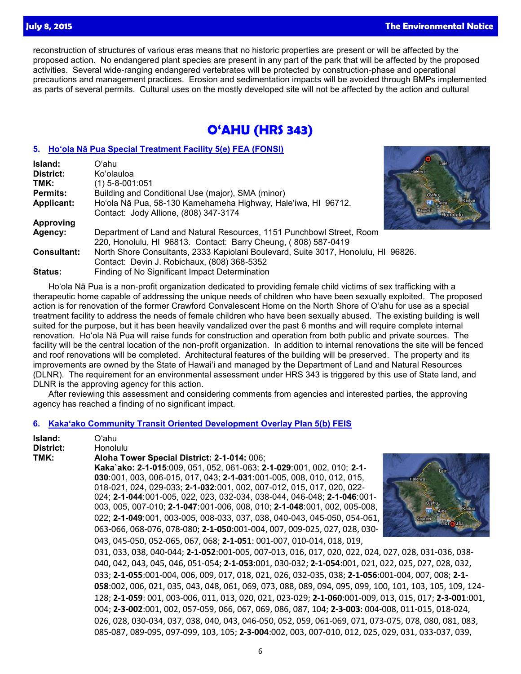reconstruction of structures of various eras means that no historic properties are present or will be affected by the proposed action. No endangered plant species are present in any part of the park that will be affected by the proposed activities. Several wide-ranging endangered vertebrates will be protected by construction-phase and operational precautions and management practices. Erosion and sedimentation impacts will be avoided through BMPs implemented as parts of several permits. Cultural uses on the mostly developed site will not be affected by the action and cultural

# **O'AHU (HRS 343)**

## **5. [Ho'ola Nā Pua Special Treatment Facility 5\(e\) FEA \(FONSI\)](http://oeqc.doh.hawaii.gov/Shared%20Documents/EA_and_EIS_Online_Library/Oahu/2010s/2015-07-08-OA-5E-FEA-Hoola-Na-Pua-Special-Treatment-Facility.pdf)**

| Island:            | Oʻahu                                                                              |    |
|--------------------|------------------------------------------------------------------------------------|----|
| District:          | Ko'olauloa                                                                         | Ha |
| TMK:               | (1) 5-8-001:051                                                                    |    |
| Permits:           | Building and Conditional Use (major), SMA (minor)                                  |    |
| Applicant:         | Ho'ola Nā Pua, 58-130 Kamehameha Highway, Hale'iwa, HI 96712.                      |    |
|                    | Contact: Jody Allione, (808) 347-3174                                              |    |
| Approving          |                                                                                    |    |
| Agency:            | Department of Land and Natural Resources, 1151 Punchbowl Street, Room              |    |
|                    | 220, Honolulu, HI 96813. Contact: Barry Cheung, (808) 587-0419                     |    |
| <b>Consultant:</b> | North Shore Consultants, 2333 Kapiolani Boulevard, Suite 3017, Honolulu, HI 96826. |    |
|                    | Contact: Devin J. Robichaux, (808) 368-5352                                        |    |
| <b>Status:</b>     | Finding of No Significant Impact Determination                                     |    |

Ho'ola Nā Pua is a non-profit organization dedicated to providing female child victims of sex trafficking with a therapeutic home capable of addressing the unique needs of children who have been sexually exploited. The proposed action is for renovation of the former Crawford Convalescent Home on the North Shore of O'ahu for use as a special treatment facility to address the needs of female children who have been sexually abused. The existing building is well suited for the purpose, but it has been heavily vandalized over the past 6 months and will require complete internal renovation. Ho'ola Nā Pua will raise funds for construction and operation from both public and private sources. The facility will be the central location of the non-profit organization. In addition to internal renovations the site will be fenced and roof renovations will be completed. Architectural features of the building will be preserved. The property and its improvements are owned by the State of Hawai'i and managed by the Department of Land and Natural Resources (DLNR). The requirement for an environmental assessment under HRS 343 is triggered by this use of State land, and DLNR is the approving agency for this action.

After reviewing this assessment and considering comments from agencies and interested parties, the approving agency has reached a finding of no significant impact.

## **6. [Kaka'ako Community Transit Oriented Development Overlay Plan 5\(b\) FEIS](http://oeqc.doh.hawaii.gov/Shared%20Documents/EA_and_EIS_Online_Library/Oahu/2010s/2015-07-08-OA-5B-FEIS-Kakaako-Community-Transit-Oriented-Development-Overlay-Plan.pdf)**

| Island:<br>District: | Oʻahu<br><b>Honolulu</b>                                                                                |
|----------------------|---------------------------------------------------------------------------------------------------------|
| TMK:                 | Aloha Tower Special District: 2-1-014: 006;                                                             |
|                      | Kaka`ako: 2-1-015:009, 051, 052, 061-063; 2-1-029:001, 002, 010; 2-1-                                   |
|                      | 030:001, 003, 006-015, 017, 043; 2-1-031:001-005, 008, 010, 012, 015,<br><b>Halelwa</b>                 |
|                      | 018-021, 024, 029-033; 2-1-032:001, 002, 007-012, 015, 017, 020, 022-                                   |
|                      | 024; 2-1-044:001-005, 022, 023, 032-034, 038-044, 046-048; 2-1-046:001-<br>O'ahu                        |
|                      | 003, 005, 007-010; 2-1-047:001-006, 008, 010; 2-1-048:001, 002, 005-008,<br>HI Alea                     |
|                      | 022; 2-1-049:001, 003-005, 008-033, 037, 038, 040-043, 045-050, 054-061,<br>- ulu                       |
|                      | 063-066, 068-076, 078-080; 2-1-050:001-004, 007, 009-025, 027, 028, 030-                                |
|                      | 043, 045-050, 052-065, 067, 068; 2-1-051: 001-007, 010-014, 018, 019,                                   |
|                      | 031, 033, 038, 040-044; 2-1-052:001-005, 007-013, 016, 017, 020, 022, 024, 027, 028, 031-036, 038-      |
|                      | 040, 042, 043, 045, 046, 051-054; 2-1-053:001, 030-032; 2-1-054:001, 021, 022, 025, 027, 028, 032,      |
|                      | 033; 2-1-055:001-004, 006, 009, 017, 018, 021, 026, 032-035, 038; 2-1-056:001-004, 007, 008; 2-1-       |
|                      | 058:002, 006, 021, 035, 043, 048, 061, 069, 073, 088, 089, 094, 095, 099, 100, 101, 103, 105, 109, 124- |
|                      | 128; 2-1-059: 001, 003-006, 011, 013, 020, 021, 023-029; 2-1-060:001-009, 013, 015, 017; 2-3-001:001,   |
|                      | 004; 2-3-002:001, 002, 057-059, 066, 067, 069, 086, 087, 104; 2-3-003: 004-008, 011-015, 018-024,       |
|                      | 026, 028, 030-034, 037, 038, 040, 043, 046-050, 052, 059, 061-069, 071, 073-075, 078, 080, 081, 083,    |
|                      | 085-087, 089-095, 097-099, 103, 105; 2-3-004:002, 003, 007-010, 012, 025, 029, 031, 033-037, 039,       |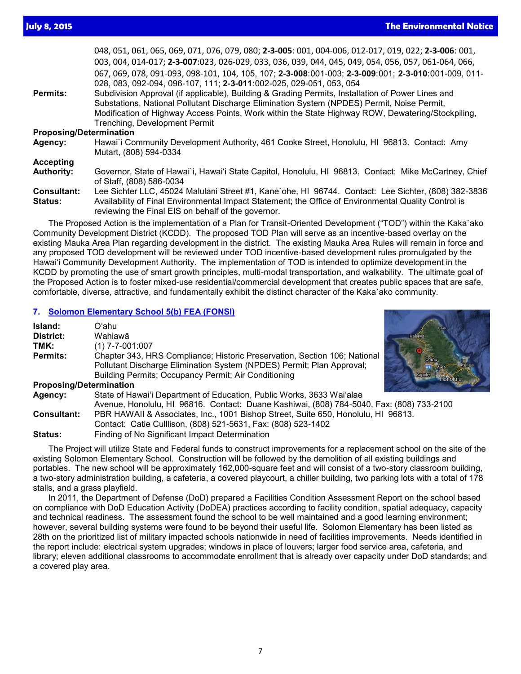048, 051, 061, 065, 069, 071, 076, 079, 080; **2-3-005**: 001, 004-006, 012-017, 019, 022; **2-3-006**: 001, 003, 004, 014-017; **2-3-007**:023, 026-029, 033, 036, 039, 044, 045, 049, 054, 056, 057, 061-064, 066, 067, 069, 078, 091-093, 098-101, 104, 105, 107; **2-3-008**:001-003; **2-3-009**:001; **2-3-010**:001-009, 011- 028, 083, 092-094, 096-107, 111; **2-3-011**:002-025, 029-051, 053, 054 Permits: Subdivision Approval (if applicable), Building & Grading Permits, Installation of Power Lines and Substations, National Pollutant Discharge Elimination System (NPDES) Permit, Noise Permit, Modification of Highway Access Points, Work within the State Highway ROW, Dewatering/Stockpiling, Trenching, Development Permit **Proposing/Determination Agency:** Hawai`i Community Development Authority, 461 Cooke Street, Honolulu, HI 96813. Contact: Amy Mutart, (808) 594-0334 **Accepting Authority:** Governor, State of Hawai`i, Hawai'i State Capitol, Honolulu, HI 96813. Contact: Mike McCartney, Chief of Staff, (808) 586-0034 **Consultant:** Lee Sichter LLC, 45024 Malulani Street #1, Kane`ohe, HI 96744. Contact: Lee Sichter, (808) 382-3836 **Status:** Availability of Final Environmental Impact Statement; the Office of Environmental Quality Control is reviewing the Final EIS on behalf of the governor. The Proposed Action is the implementation of a Plan for Transit-Oriented Development ("TOD") within the Kaka`ako

Community Development District (KCDD). The proposed TOD Plan will serve as an incentive-based overlay on the existing Mauka Area Plan regarding development in the district. The existing Mauka Area Rules will remain in force and any proposed TOD development will be reviewed under TOD incentive-based development rules promulgated by the Hawai'i Community Development Authority. The implementation of TOD is intended to optimize development in the KCDD by promoting the use of smart growth principles, multi-modal transportation, and walkability. The ultimate goal of the Proposed Action is to foster mixed-use residential/commercial development that creates public spaces that are safe, comfortable, diverse, attractive, and fundamentally exhibit the distinct character of the Kaka`ako community.

### **7. [Solomon Elementary School 5\(b\) FEA \(FONSI\)](http://oeqc.doh.hawaii.gov/Shared%20Documents/EA_and_EIS_Online_Library/Oahu/2010s/2015-07-08-OA-5B-FEA-Solomon-Elementary-School.pdf)**

| Island:            | Oʻahu.                                                                                   |  |
|--------------------|------------------------------------------------------------------------------------------|--|
| District:          | Wahiawā                                                                                  |  |
| TMK:               | $(1)$ 7-7-001:007                                                                        |  |
| Permits:           | Chapter 343, HRS Compliance; Historic Preservation, Section 106; National                |  |
|                    | Pollutant Discharge Elimination System (NPDES) Permit; Plan Approval;                    |  |
|                    | Building Permits; Occupancy Permit; Air Conditioning                                     |  |
|                    | <b>Proposing/Determination</b>                                                           |  |
| Agency:            | State of Hawai'i Department of Education, Public Works, 3633 Wai'alae                    |  |
|                    | Avenue, Honolulu, HI 96816. Contact: Duane Kashiwai, (808) 784-5040, Fax: (808) 733-2100 |  |
| <b>Consultant:</b> | PBR HAWAII & Associates, Inc., 1001 Bishop Street, Suite 650, Honolulu, HI 96813.        |  |

- Contact: Catie Culllison, (808) 521-5631, Fax: (808) 523-1402
- **Status:** Finding of No Significant Impact Determination

The Project will utilize State and Federal funds to construct improvements for a replacement school on the site of the existing Solomon Elementary School. Construction will be followed by the demolition of all existing buildings and portables. The new school will be approximately 162,000-square feet and will consist of a two-story classroom building, a two-story administration building, a cafeteria, a covered playcourt, a chiller building, two parking lots with a total of 178 stalls, and a grass playfield.

In 2011, the Department of Defense (DoD) prepared a Facilities Condition Assessment Report on the school based on compliance with DoD Education Activity (DoDEA) practices according to facility condition, spatial adequacy, capacity and technical readiness. The assessment found the school to be well maintained and a good learning environment; however, several building systems were found to be beyond their useful life. Solomon Elementary has been listed as 28th on the prioritized list of military impacted schools nationwide in need of facilities improvements. Needs identified in the report include: electrical system upgrades; windows in place of louvers; larger food service area, cafeteria, and library; eleven additional classrooms to accommodate enrollment that is already over capacity under DoD standards; and a covered play area.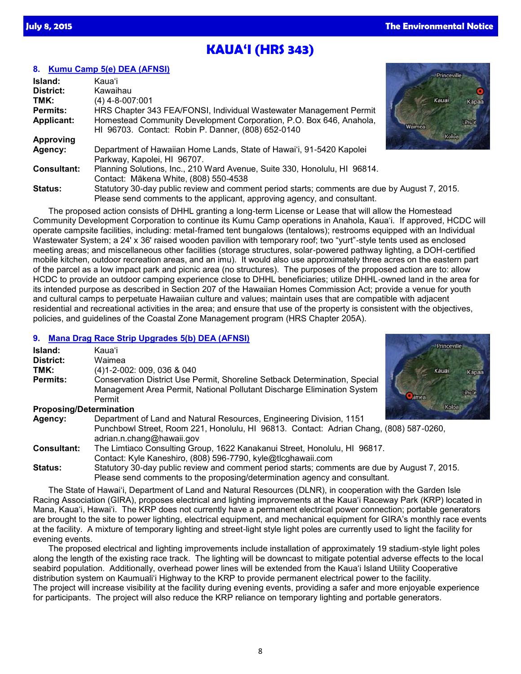## **KAUA'I (HRS 343)**

## **8. [Kumu Camp 5\(e\) DEA \(AFNSI\)](http://oeqc.doh.hawaii.gov/Shared%20Documents/EA_and_EIS_Online_Library/Kauai/2010s/2015-07-08-KA-5E-DEA-Kumu-Camp.pdf)**

| Island:            | Kaua'i                                                                                                                                                                    |        |       |
|--------------------|---------------------------------------------------------------------------------------------------------------------------------------------------------------------------|--------|-------|
| District:          | Kawaihau                                                                                                                                                                  |        |       |
| TMK:               | $(4)$ 4-8-007:001                                                                                                                                                         |        | Kauai |
| <b>Permits:</b>    | HRS Chapter 343 FEA/FONSI, Individual Wastewater Management Permit                                                                                                        |        |       |
| Applicant:         | Homestead Community Development Corporation, P.O. Box 646, Anahola,<br>HI 96703. Contact: Robin P. Danner, (808) 652-0140                                                 | Waimea |       |
| Approving          |                                                                                                                                                                           |        | Koloa |
| Agency:            | Department of Hawaiian Home Lands, State of Hawai'i, 91-5420 Kapolei<br>Parkway, Kapolei, HI 96707.                                                                       |        |       |
| <b>Consultant:</b> | Planning Solutions, Inc., 210 Ward Avenue, Suite 330, Honolulu, HI 96814.<br>Contact: Mākena White, (808) 550-4538                                                        |        |       |
| <b>Status:</b>     | Statutory 30-day public review and comment period starts; comments are due by August 7, 2015.<br>Please send comments to the applicant, approving agency, and consultant. |        |       |

The proposed action consists of DHHL granting a long-term License or Lease that will allow the Homestead Community Development Corporation to continue its Kumu Camp operations in Anahola, Kaua'i. If approved, HCDC will operate campsite facilities, including: metal-framed tent bungalows (tentalows); restrooms equipped with an Individual Wastewater System; a 24ʹ x 36ʹ raised wooden pavilion with temporary roof; two "yurt"-style tents used as enclosed meeting areas; and miscellaneous other facilities (storage structures, solar-powered pathway lighting, a DOH-certified mobile kitchen, outdoor recreation areas, and an imu). It would also use approximately three acres on the eastern part of the parcel as a low impact park and picnic area (no structures). The purposes of the proposed action are to: allow HCDC to provide an outdoor camping experience close to DHHL beneficiaries; utilize DHHL-owned land in the area for its intended purpose as described in Section 207 of the Hawaiian Homes Commission Act; provide a venue for youth and cultural camps to perpetuate Hawaiian culture and values; maintain uses that are compatible with adjacent residential and recreational activities in the area; and ensure that use of the property is consistent with the objectives, policies, and guidelines of the Coastal Zone Management program (HRS Chapter 205A).

## **9. [Mana Drag Race Strip Upgrades 5\(b\) DEA \(AFNSI\)](http://oeqc.doh.hawaii.gov/Shared%20Documents/EA_and_EIS_Online_Library/Kauai/2010s/2015-07-08-KA-5B-DEA-Mana-Drag-Race-Strip-Upgrades.pdf)**

| Island:   | Kaua'i                                                                                                                                                |  |
|-----------|-------------------------------------------------------------------------------------------------------------------------------------------------------|--|
| District: | Waimea                                                                                                                                                |  |
| TMK:      | (4) 1-2-002: 009, 036 & 040                                                                                                                           |  |
| Permits:  | Conservation District Use Permit, Shoreline Setback Determination, Special<br>Management Area Permit, National Pollutant Discharge Elimination System |  |
|           | Permit                                                                                                                                                |  |
|           | <b>Proposing/Determination</b>                                                                                                                        |  |



### **Proposing/Determination**

| Agency:            | Department of Land and Natural Resources, Engineering Division, 1151                   |
|--------------------|----------------------------------------------------------------------------------------|
|                    | Punchbowl Street, Room 221, Honolulu, HI 96813. Contact: Adrian Chang, (808) 587-0260, |
|                    | adrian.n.chang@hawaii.gov                                                              |
| <b>Consultant:</b> | The Limtiaco Consulting Group, 1622 Kanakanui Street, Honolulu, HI 96817.              |

- Contact: Kyle Kaneshiro, (808) 596-7790, kyle@tlcghawaii.com
- **Status:** Statutory 30-day public review and comment period starts; comments are due by August 7, 2015. Please send comments to the proposing/determination agency and consultant.

The State of Hawai'i, Department of Land and Natural Resources (DLNR), in cooperation with the Garden Isle Racing Association (GIRA), proposes electrical and lighting improvements at the Kaua'i Raceway Park (KRP) located in Mana, Kaua'i, Hawai'i. The KRP does not currently have a permanent electrical power connection; portable generators are brought to the site to power lighting, electrical equipment, and mechanical equipment for GIRA's monthly race events at the facility. A mixture of temporary lighting and street-light style light poles are currently used to light the facility for evening events.

The proposed electrical and lighting improvements include installation of approximately 19 stadium-style light poles along the length of the existing race track. The lighting will be downcast to mitigate potential adverse effects to the local seabird population. Additionally, overhead power lines will be extended from the Kaua'i Island Utility Cooperative distribution system on Kaumuali'i Highway to the KRP to provide permanent electrical power to the facility. The project will increase visibility at the facility during evening events, providing a safer and more enjoyable experience for participants. The project will also reduce the KRP reliance on temporary lighting and portable generators.

8

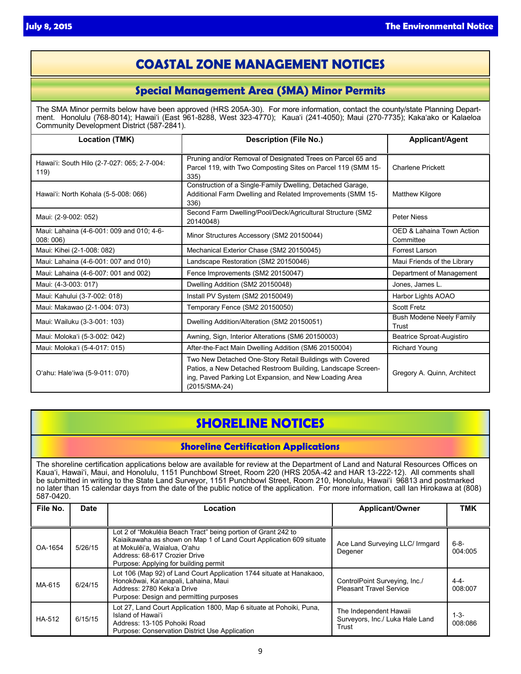## **COASTAL ZONE MANAGEMENT NOTICES**

## **Special Management Area (SMA) Minor Permits**

The SMA Minor permits below have been approved (HRS 205A-30). For more information, contact the county/state Planning Department. Honolulu (768-8014); Hawaiʻi (East 961-8288, West 323-4770); Kauaʻi (241-4050); Maui (270-7735); Kakaʻako or Kalaeloa Community Development District (587-2841).

| <b>Location (TMK)</b>                                | <b>Description (File No.)</b>                                                                                                                                                                      | <b>Applicant/Agent</b>                 |
|------------------------------------------------------|----------------------------------------------------------------------------------------------------------------------------------------------------------------------------------------------------|----------------------------------------|
| Hawai'i: South Hilo (2-7-027: 065; 2-7-004:<br>119)  | Pruning and/or Removal of Designated Trees on Parcel 65 and<br>Parcel 119, with Two Composting Sites on Parcel 119 (SMM 15-<br>335)                                                                | <b>Charlene Prickett</b>               |
| Hawai'i: North Kohala (5-5-008: 066)                 | Construction of a Single-Family Dwelling, Detached Garage,<br>Additional Farm Dwelling and Related Improvements (SMM 15-<br>336)                                                                   | <b>Matthew Kilgore</b>                 |
| Maui: (2-9-002: 052)                                 | Second Farm Dwelling/Pool/Deck/Agricultural Structure (SM2<br>20140048)                                                                                                                            | <b>Peter Niess</b>                     |
| Maui: Lahaina (4-6-001: 009 and 010; 4-6-<br>008:006 | Minor Structures Accessory (SM2 20150044)                                                                                                                                                          | OED & Lahaina Town Action<br>Committee |
| Maui: Kihei (2-1-008: 082)                           | Mechanical Exterior Chase (SM2 20150045)                                                                                                                                                           | Forrest Larson                         |
| Maui: Lahaina (4-6-001: 007 and 010)                 | Landscape Restoration (SM2 20150046)                                                                                                                                                               | Maui Friends of the Library            |
| Maui: Lahaina (4-6-007: 001 and 002)                 | Fence Improvements (SM2 20150047)                                                                                                                                                                  | Department of Management               |
| Maui: (4-3-003: 017)                                 | Dwelling Addition (SM2 20150048)                                                                                                                                                                   | Jones, James L.                        |
| Maui: Kahului (3-7-002: 018)                         | Install PV System (SM2 20150049)                                                                                                                                                                   | Harbor Lights AOAO                     |
| Maui: Makawao (2-1-004: 073)                         | Temporary Fence (SM2 20150050)                                                                                                                                                                     | <b>Scott Fretz</b>                     |
| Maui: Wailuku (3-3-001: 103)                         | Dwelling Addition/Alteration (SM2 20150051)                                                                                                                                                        | Bush Modene Neely Family<br>Trust      |
| Maui: Moloka'i (5-3-002: 042)                        | Awning, Sign, Interior Alterations (SM6 20150003)                                                                                                                                                  | Beatrice Sproat-Augistiro              |
| Maui: Moloka'i (5-4-017: 015)                        | After-the-Fact Main Dwelling Addition (SM6 20150004)                                                                                                                                               | <b>Richard Young</b>                   |
| O'ahu: Hale'iwa (5-9-011: 070)                       | Two New Detached One-Story Retail Buildings with Covered<br>Patios, a New Detached Restroom Building, Landscape Screen-<br>ing, Paved Parking Lot Expansion, and New Loading Area<br>(2015/SMA-24) | Gregory A. Quinn, Architect            |

# **SHORELINE NOTICES**

## **Shoreline Certification Applications**

The shoreline certification applications below are available for review at the Department of Land and Natural Resources Offices on Kauaʻi, Hawaiʻi, Maui, and Honolulu, 1151 Punchbowl Street, Room 220 (HRS 205A-42 and HAR 13-222-12). All comments shall be submitted in writing to the State Land Surveyor, 1151 Punchbowl Street, Room 210, Honolulu, Hawai'i 96813 and postmarked no later than 15 calendar days from the date of the public notice of the application. For more information, call Ian Hirokawa at (808) 587-0420.

| File No. | <b>Date</b> | Location                                                                                                                                                                                                                                       | <b>Applicant/Owner</b>                                             | <b>TMK</b>           |
|----------|-------------|------------------------------------------------------------------------------------------------------------------------------------------------------------------------------------------------------------------------------------------------|--------------------------------------------------------------------|----------------------|
|          |             |                                                                                                                                                                                                                                                |                                                                    |                      |
| OA-1654  | 5/26/15     | Lot 2 of "Mokulēia Beach Tract" being portion of Grant 242 to<br>Kaiaikawaha as shown on Map 1 of Land Court Application 609 situate<br>at Mokulēi'a. Waialua. O'ahu<br>Address: 68-617 Crozier Drive<br>Purpose: Applying for building permit | Ace Land Surveying LLC/ Irmgard<br>Degener                         | $6 - 8 -$<br>004:005 |
| MA-615   | 6/24/15     | Lot 106 (Map 92) of Land Court Application 1744 situate at Hanakaoo,<br>Honokōwai, Ka'anapali, Lahaina, Maui<br>Address: 2780 Keka'a Drive<br>Purpose: Design and permitting purposes                                                          | ControlPoint Surveying, Inc./<br><b>Pleasant Travel Service</b>    | $4 - 4 -$<br>008:007 |
| HA-512   | 6/15/15     | Lot 27, Land Court Application 1800, Map 6 situate at Pohoiki, Puna,<br>Island of Hawai'i<br>Address: 13-105 Pohoiki Road<br>Purpose: Conservation District Use Application                                                                    | The Independent Hawaii<br>Surveyors, Inc./ Luka Hale Land<br>Trust | $1-3-$<br>008:086    |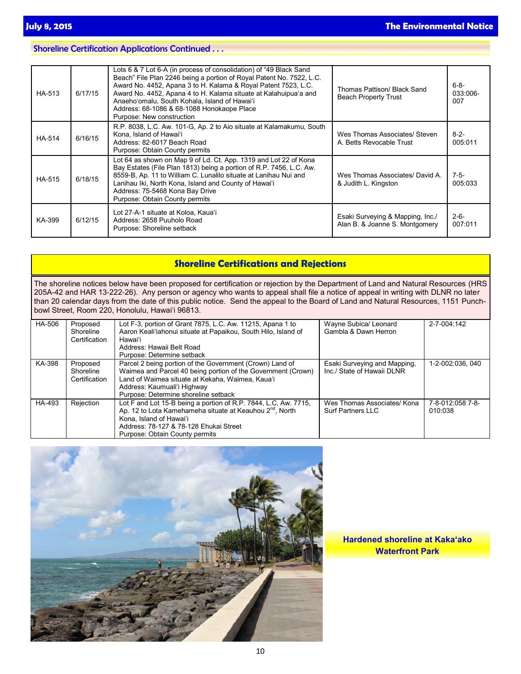## Shoreline Certification Applications Continued . . .

| HA-513        | 6/17/15 | Lots 6 & 7 Lot 6-A (in process of consolidation) of "49 Black Sand<br>Beach" File Plan 2246 being a portion of Royal Patent No. 7522, L.C.<br>Award No. 4452, Apana 3 to H. Kalama & Royal Patent 7523, L.C.<br>Award No. 4452, Apana 4 to H. Kalama situate at Kalahuipua'a and<br>Anaeho'omalu, South Kohala, Island of Hawai'i<br>Address: 68-1086 & 68-1088 Honokaope Place<br>Purpose: New construction | Thomas Pattison/ Black Sand<br><b>Beach Property Trust</b>         | $6 - 8 -$<br>033:006-<br>007 |
|---------------|---------|--------------------------------------------------------------------------------------------------------------------------------------------------------------------------------------------------------------------------------------------------------------------------------------------------------------------------------------------------------------------------------------------------------------|--------------------------------------------------------------------|------------------------------|
| <b>HA-514</b> | 6/16/15 | R.P. 8038, L.C. Aw. 101-G, Ap. 2 to Aio situate at Kalamakumu, South<br>Kona. Island of Hawai'i<br>Address: 82-6017 Beach Road<br>Purpose: Obtain County permits                                                                                                                                                                                                                                             | Wes Thomas Associates/ Steven<br>A. Betts Revocable Trust          | $8 - 2 -$<br>005:011         |
| HA-515        | 6/18/15 | Lot 64 as shown on Map 9 of Ld. Ct. App. 1319 and Lot 22 of Kona<br>Bay Estates (File Plan 1813) being a portion of R.P. 7456, L.C. Aw.<br>8559-B, Ap. 11 to William C. Lunalilo situate at Lanihau Nui and<br>Lanihau Iki, North Kona, Island and County of Hawai'i<br>Address: 75-5468 Kona Bay Drive<br>Purpose: Obtain County permits                                                                    | Wes Thomas Associates/ David A.<br>& Judith L. Kingston            | $7-5-$<br>005:033            |
| KA-399        | 6/12/15 | Lot 27-A-1 situate at Koloa, Kaua'i<br>Address: 2658 Puuholo Road<br>Purpose: Shoreline setback                                                                                                                                                                                                                                                                                                              | Esaki Surveying & Mapping, Inc./<br>Alan B. & Joanne S. Montgomery | $2 - 6 -$<br>007:011         |

| <b>Shoreline Certifications and Rejections</b>                                                                                                                                                                                                                                                                                                                                                                                                                    |                                        |                                                                                                                                                                                                                                                     |                                                            |                             |  |  |  |  |
|-------------------------------------------------------------------------------------------------------------------------------------------------------------------------------------------------------------------------------------------------------------------------------------------------------------------------------------------------------------------------------------------------------------------------------------------------------------------|----------------------------------------|-----------------------------------------------------------------------------------------------------------------------------------------------------------------------------------------------------------------------------------------------------|------------------------------------------------------------|-----------------------------|--|--|--|--|
| The shoreline notices below have been proposed for certification or rejection by the Department of Land and Natural Resources (HRS<br>205A-42 and HAR 13-222-26). Any person or agency who wants to appeal shall file a notice of appeal in writing with DLNR no later<br>than 20 calendar days from the date of this public notice. Send the appeal to the Board of Land and Natural Resources, 1151 Punch-<br>l bowl Street, Room 220, Honolulu, Hawai'i 96813. |                                        |                                                                                                                                                                                                                                                     |                                                            |                             |  |  |  |  |
| HA-506                                                                                                                                                                                                                                                                                                                                                                                                                                                            | Proposed<br>Shoreline<br>Certification | Lot F-3, portion of Grant 7875, L.C. Aw. 11215, Apana 1 to<br>Aaron Keali'iahonui situate at Papaikou, South Hilo, Island of<br>Hawai'i<br>Address: Hawaii Belt Road<br>Purpose: Determine setback                                                  | Wayne Subica/ Leonard<br>Gambla & Dawn Herron              | 2-7-004:142                 |  |  |  |  |
| KA-398                                                                                                                                                                                                                                                                                                                                                                                                                                                            | Proposed<br>Shoreline<br>Certification | Parcel 2 being portion of the Government (Crown) Land of<br>Waimea and Parcel 40 being portion of the Government (Crown)<br>Land of Waimea situate at Kekaha, Waimea, Kaua'i<br>Address: Kaumuali'i Highway<br>Purpose: Determine shoreline setback | Esaki Surveying and Mapping.<br>Inc./ State of Hawaii DLNR | 1-2-002:036, 040            |  |  |  |  |
| HA-493                                                                                                                                                                                                                                                                                                                                                                                                                                                            | Rejection                              | Lot F and Lot 15-B being a portion of R.P. 7844, L.C. Aw. 7715,<br>Ap. 12 to Lota Kamehameha situate at Keauhou 2 <sup>nd</sup> , North<br>Kona. Island of Hawai'i<br>Address: 78-127 & 78-128 Ehukai Street                                        | Wes Thomas Associates/ Kona<br><b>Surf Partners LLC</b>    | 7-8-012:058 7-8-<br>010:038 |  |  |  |  |



Purpose: Obtain County permits

**Hardened shoreline at Kakaʻako Waterfront Park**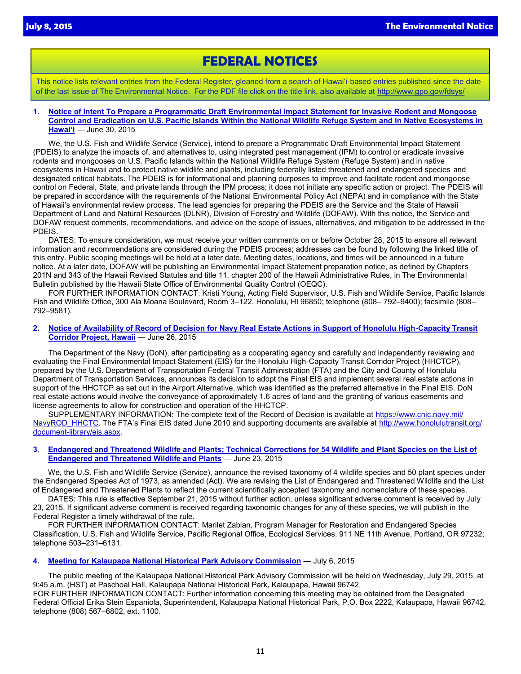## **FEDERAL NOTICES**

This notice lists relevant entries from the Federal Register, gleaned from a search of Hawai'i-based entries published since the date of the last issue of The Environmental Notice. For the PDF file click on the title link, also available at <http://www.gpo.gov/fdsys/>

**1. [Notice of Intent To Prepare a Programmatic Draft En](http://www.gpo.gov/fdsys/pkg/FR-2015-06-30/pdf/2015-16152.pdf)vironmental Impact Statement for Invasive Rodent and Mongoose Control and Eradication on U.S. Pacific Islands Within the National Wildlife Refuge System and in Native Ecosystems in Hawaiʻi** — June 30, 2015

We, the U.S. Fish and Wildlife Service (Service), intend to prepare a Programmatic Draft Environmental Impact Statement (PDEIS) to analyze the impacts of, and alternatives to, using integrated pest management (IPM) to control or eradicate invasive rodents and mongooses on U.S. Pacific Islands within the National Wildlife Refuge System (Refuge System) and in native ecosystems in Hawaii and to protect native wildlife and plants, including federally listed threatened and endangered species and designated critical habitats. The PDEIS is for informational and planning purposes to improve and facilitate rodent and mongoose control on Federal, State, and private lands through the IPM process; it does not initiate any specific action or project. The PDEIS will be prepared in accordance with the requirements of the National Environmental Policy Act (NEPA) and in compliance with the State of Hawaii's environmental review process. The lead agencies for preparing the PDEIS are the Service and the State of Hawaii Department of Land and Natural Resources (DLNR), Division of Forestry and Wildlife (DOFAW). With this notice, the Service and DOFAW request comments, recommendations, and advice on the scope of issues, alternatives, and mitigation to be addressed in the PDEIS.

DATES: To ensure consideration, we must receive your written comments on or before October 28, 2015 to ensure all relevant information and recommendations are considered during the PDEIS process; addresses can be found by following the linked title of this entry. Public scoping meetings will be held at a later date. Meeting dates, locations, and times will be announced in a future notice. At a later date, DOFAW will be publishing an Environmental Impact Statement preparation notice, as defined by Chapters 201N and 343 of the Hawaii Revised Statutes and title 11, chapter 200 of the Hawaii Administrative Rules, in The Environmental Bulletin published by the Hawaii State Office of Environmental Quality Control (OEQC).

FOR FURTHER INFORMATION CONTACT: Kristi Young, Acting Field Supervisor, U.S. Fish and Wildlife Service, Pacific Islands Fish and Wildlife Office, 300 Ala Moana Boulevard, Room 3–122, Honolulu, HI 96850; telephone (808– 792–9400); facsimile (808– 792–9581).

#### **2. [Notice of Availability of Record of Decision for Navy Real Estate Actions in Support of Ho](http://www.gpo.gov/fdsys/pkg/FR-2015-06-26/pdf/2015-15717.pdf)nolulu High-Capacity Transit Corridor Project, Hawaii** — June 26, 2015

The Department of the Navy (DoN), after participating as a cooperating agency and carefully and independently reviewing and evaluating the Final Environmental Impact Statement (EIS) for the Honolulu High-Capacity Transit Corridor Project (HHCTCP), prepared by the U.S. Department of Transportation Federal Transit Administration (FTA) and the City and County of Honolulu Department of Transportation Services, announces its decision to adopt the Final EIS and implement several real estate actions in support of the HHCTCP as set out in the Airport Alternative, which was identified as the preferred alternative in the Final EIS. DoN real estate actions would involve the conveyance of approximately 1.6 acres of land and the granting of various easements and license agreements to allow for construction and operation of the HHCTCP.

SUPPLEMENTARY INFORMATION: The complete text of the Record of Decision is available at [https://www.cnic.navy.mil/](https://www.cnic.navy.mil/regions/cnrh/om/environmental/rod-notice---honolulu-rail-transit.html) [NavyROD\\_HHCTC.](https://www.cnic.navy.mil/regions/cnrh/om/environmental/rod-notice---honolulu-rail-transit.html) The FTA's Final EIS dated June 2010 and supporting documents are available at [http://www.honolulutransit.org/](http://www.honolulutransit.org/document-library/eis.aspx) [document-library/eis.aspx.](http://www.honolulutransit.org/document-library/eis.aspx)

### **3**. **[Endangered and Threatened Wildlife and Plants; Technical Corrections for 54 Wildlife and Plant Species on the List of](http://www.gpo.gov/fdsys/pkg/FR-2015-06-23/pdf/2015-15212.pdf)  [Endangered and Threatened Wildlife and Plants](http://www.gpo.gov/fdsys/pkg/FR-2015-06-23/pdf/2015-15212.pdf)** — June 23, 2015

We, the U.S. Fish and Wildlife Service (Service), announce the revised taxonomy of 4 wildlife species and 50 plant species under the Endangered Species Act of 1973, as amended (Act). We are revising the List of Endangered and Threatened Wildlife and the List of Endangered and Threatened Plants to reflect the current scientifically accepted taxonomy and nomenclature of these species.

DATES: This rule is effective September 21, 2015 without further action, unless significant adverse comment is received by July 23, 2015. If significant adverse comment is received regarding taxonomic changes for any of these species, we will publish in the Federal Register a timely withdrawal of the rule.

FOR FURTHER INFORMATION CONTACT: Marilet Zablan, Program Manager for Restoration and Endangered Species Classification, U.S. Fish and Wildlife Service, Pacific Regional Office, Ecological Services, 911 NE 11th Avenue, Portland, OR 97232; telephone 503–231–6131.

## **4. [Meeting for Kalaupapa National Historical Park Advisory Commission](http://www.gpo.gov/fdsys/pkg/FR-2015-07-06/pdf/2015-16485.pdf)** — July 6, 2015

The public meeting of the Kalaupapa National Historical Park Advisory Commission will be held on Wednesday, July 29, 2015, at 9:45 a.m. (HST) at Paschoal Hall, Kalaupapa National Historical Park, Kalaupapa, Hawaii 96742.

FOR FURTHER INFORMATION CONTACT: Further information concerning this meeting may be obtained from the Designated Federal Official Erika Stein Espaniola, Superintendent, Kalaupapa National Historical Park, P.O. Box 2222, Kalaupapa, Hawaii 96742, telephone (808) 567–6802, ext. 1100.